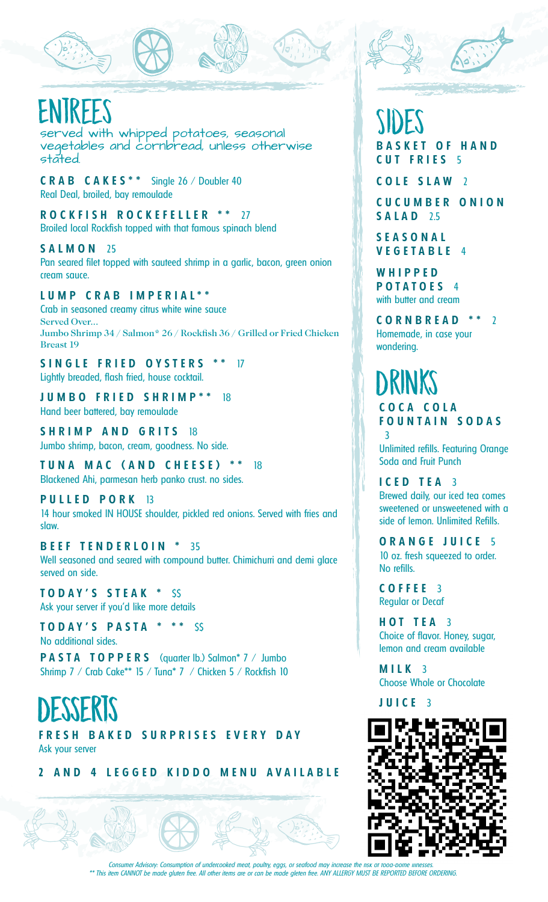## **ENTREES**

served with whipped potatoes, seasonal vegetables and cornbread, unless otherwise stated.

**C R A B C A K E S \* \*** Single 26 / Doubler 40 Real Deal, broiled, bay remoulade

**R O C K F I S H R O C K E F E L L E R \* \*** 27 Broiled local Rockfish topped with that famous spinach blend

**S A L M O N** 25 Pan seared filet topped with sauteed shrimp in a garlic, bacon, green onion cream sauce.

**L U M P C R A B I M P E R I A L \* \***

Crab in seasoned creamy citrus white wine sauce Served Over... Jumbo Shrimp 34 / Salmon\* 26 / Rockfish 36 / Grilled or Fried Chicken Breast 19

**S I N G L E F R I E D O Y S T E R S \* \*** 17 Lightly breaded, flash fried, house cocktail.

**J U M B O F R I E D S H R I M P \* \*** 18 Hand beer battered, bay remoulade

**S H R I M P A N D G R I T S** 18 Jumbo shrimp, bacon, cream, goodness. No side.

**T U N A M A C ( A N D C H E E S E ) \* \*** 18 Blackened Ahi, parmesan herb panko crust. no sides.

**P U L L E D P O R K** 13

14 hour smoked IN HOUSE shoulder, pickled red onions. Served with fries and slaw.

**B E E F T E N D E R L O I N \*** 35

Well seasoned and seared with compound butter. Chimichurri and demi glace served on side.

**T O D A Y ' S S T E A K \*** \$\$ Ask your server if you'd like more details

**T O D A Y ' S P A S T A \* \* \*** \$\$ No additional sides.

**P A S T A T O P P E R S** (quarter lb.) Salmon\* 7 / Jumbo Shrimp 7 / Crab Cake\*\* 15 / Tuna\* 7 / Chicken 5 / Rockfish 10

# DESSER

FRESH BAKED SURPRISES EVERY DAY Ask your server

2 AND 4 LEGGED KIDDO MENU AVAILABLE

## Sides **B A S K E T O F H A N D C U T F R I E S** 5

**C O L E S L A W** 2

**C U C U M B E R O N I O N S A L A D** 2.5

**S E A S O N A L V E G E T A B L E** 4

**W H I P P E D P O T A T O E S** 4 with butter and cream

**C O R N B R E A D \* \*** 2 Homemade, in case your wondering.

### Drinks **C O C A C O L A F O U N T A I N S O D A S** 3

Unlimited refills. Featuring Orange Soda and Fruit Punch

**I C E D T E A** 3 Brewed daily, our iced tea comes sweetened or unsweetened with a side of lemon. Unlimited Refills.

**O R A N G E J U I C E** 5 10 oz. fresh squeezed to order. No refills.

**C O F F E E** 3 Regular or Decaf

**H O T T E A** 3 Choice of flavor. Honey, sugar, lemon and cream available

**M I L K** 3 Choose Whole or Chocolate

**J U I C E** 3



Consumer Advisory: Consumption of undercooked meat, poultry, eggs, or seafood may increase the risk \*\* This item CANNOT be made gluten free. All other items are or can be made gleten free. ANY ALLERGY MUST BE REPORTED BEFORE ORDERING.